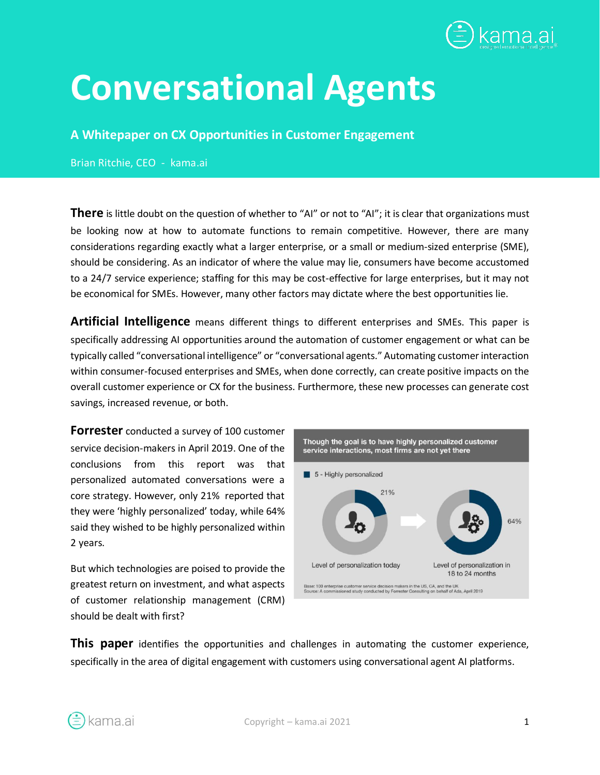

# **Conversational Agents**

#### **A Whitepaper on CX Opportunities in Customer Engagement**

Brian Ritchie, CEO - kama.ai

**There** is little doubt on the question of whether to "AI" or not to "AI"; it is clear that organizations must be looking now at how to automate functions to remain competitive. However, there are many considerations regarding exactly what a larger enterprise, or a small or medium-sized enterprise (SME), should be considering. As an indicator of where the value may lie, consumers have become accustomed to a 24/7 service experience; staffing for this may be cost-effective for large enterprises, but it may not be economical for SMEs. However, many other factors may dictate where the best opportunities lie.

**Artificial Intelligence** means different things to different enterprises and SMEs. This paper is specifically addressing AI opportunities around the automation of customer engagement or what can be typically called "conversational intelligence" or "conversational agents." Automating customer interaction within consumer-focused enterprises and SMEs, when done correctly, can create positive impacts on the overall customer experience or CX for the business. Furthermore, these new processes can generate cost savings, increased revenue, or both.

**Forrester** conducted a survey of 100 customer service decision-makers in April 2019. One of the conclusions from this report was that personalized automated conversations were a core strategy. However, only 21% reported that they were 'highly personalized' today, while 64% said they wished to be highly personalized within 2 years.

But which technologies are poised to provide the greatest return on investment, and what aspects of customer relationship management (CRM) should be dealt with first?



**This paper** identifies the opportunities and challenges in automating the customer experience, specifically in the area of digital engagement with customers using conversational agent AI platforms.

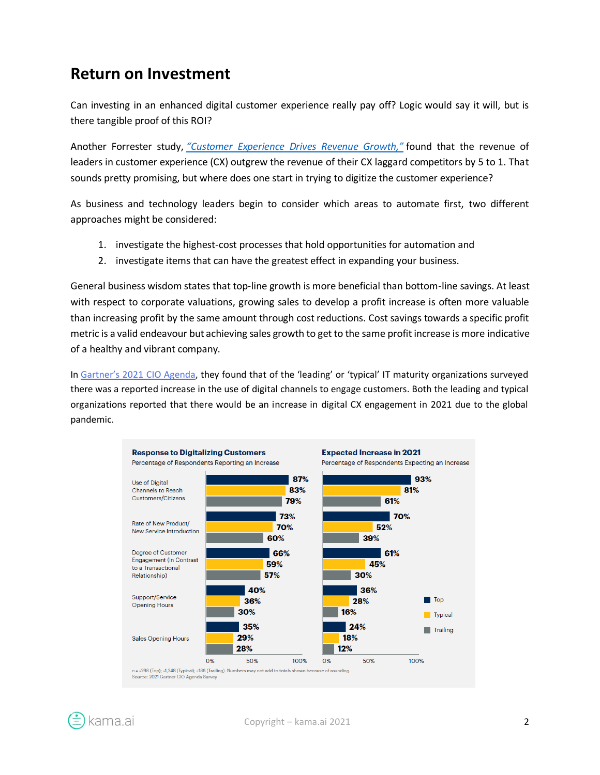#### **Return on Investment**

Can investing in an enhanced digital customer experience really pay off? Logic would say it will, but is there tangible proof of this ROI?

Another Forrester study, *["Customer Experience Drives Revenue Growth,"](https://go.forrester.com/blogs/16-06-21-customer_experience_drives_revenue_growth_2016/)* found that the revenue of leaders in customer experience (CX) outgrew the revenue of their CX laggard competitors by 5 to 1. That sounds pretty promising, but where does one start in trying to digitize the customer experience?

As business and technology leaders begin to consider which areas to automate first, two different approaches might be considered:

- 1. investigate the highest-cost processes that hold opportunities for automation and
- 2. investigate items that can have the greatest effect in expanding your business.

General business wisdom states that top-line growth is more beneficial than bottom-line savings. At least with respect to corporate valuations, growing sales to develop a profit increase is often more valuable than increasing profit by the same amount through cost reductions. Cost savings towards a specific profit metric is a valid endeavour but achieving sales growth to get to the same profit increase is more indicative of a healthy and vibrant company.

In [Gartner's 2021 CIO Agend](https://www.gartner.com/en/information-technology/insights/cio-agenda)a, they found that of the 'leading' or 'typical' IT maturity organizations surveyed there was a reported increase in the use of digital channels to engage customers. Both the leading and typical organizations reported that there would be an increase in digital CX engagement in 2021 due to the global pandemic.



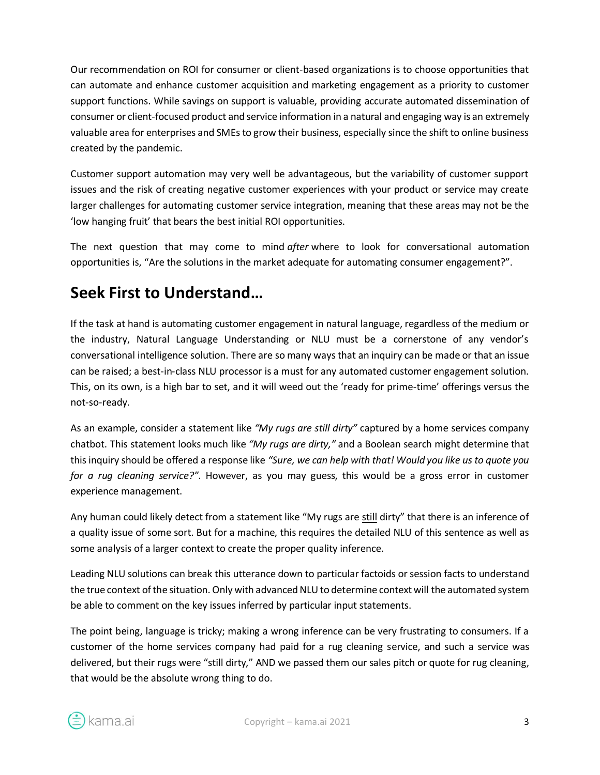Our recommendation on ROI for consumer or client-based organizations is to choose opportunities that can automate and enhance customer acquisition and marketing engagement as a priority to customer support functions. While savings on support is valuable, providing accurate automated dissemination of consumer or client-focused product and service information in a natural and engaging way is an extremely valuable area for enterprises and SMEs to grow their business, especially since the shift to online business created by the pandemic.

Customer support automation may very well be advantageous, but the variability of customer support issues and the risk of creating negative customer experiences with your product or service may create larger challenges for automating customer service integration, meaning that these areas may not be the 'low hanging fruit' that bears the best initial ROI opportunities.

The next question that may come to mind *after* where to look for conversational automation opportunities is, "Are the solutions in the market adequate for automating consumer engagement?".

## **Seek First to Understand…**

If the task at hand is automating customer engagement in natural language, regardless of the medium or the industry, Natural Language Understanding or NLU must be a cornerstone of any vendor's conversational intelligence solution. There are so many ways that an inquiry can be made or that an issue can be raised; a best-in-class NLU processor is a must for any automated customer engagement solution. This, on its own, is a high bar to set, and it will weed out the 'ready for prime-time' offerings versus the not-so-ready.

As an example, consider a statement like *"My rugs are still dirty"* captured by a home services company chatbot. This statement looks much like *"My rugs are dirty,"* and a Boolean search might determine that this inquiry should be offered a response like *"Sure, we can help with that! Would you like us to quote you for a rug cleaning service?"*. However, as you may guess, this would be a gross error in customer experience management.

Any human could likely detect from a statement like "My rugs are still dirty" that there is an inference of a quality issue of some sort. But for a machine, this requires the detailed NLU of this sentence as well as some analysis of a larger context to create the proper quality inference.

Leading NLU solutions can break this utterance down to particular factoids or session facts to understand the true context of the situation. Only with advanced NLU to determine context will the automated system be able to comment on the key issues inferred by particular input statements.

The point being, language is tricky; making a wrong inference can be very frustrating to consumers. If a customer of the home services company had paid for a rug cleaning service, and such a service was delivered, but their rugs were "still dirty," AND we passed them our sales pitch or quote for rug cleaning, that would be the absolute wrong thing to do.

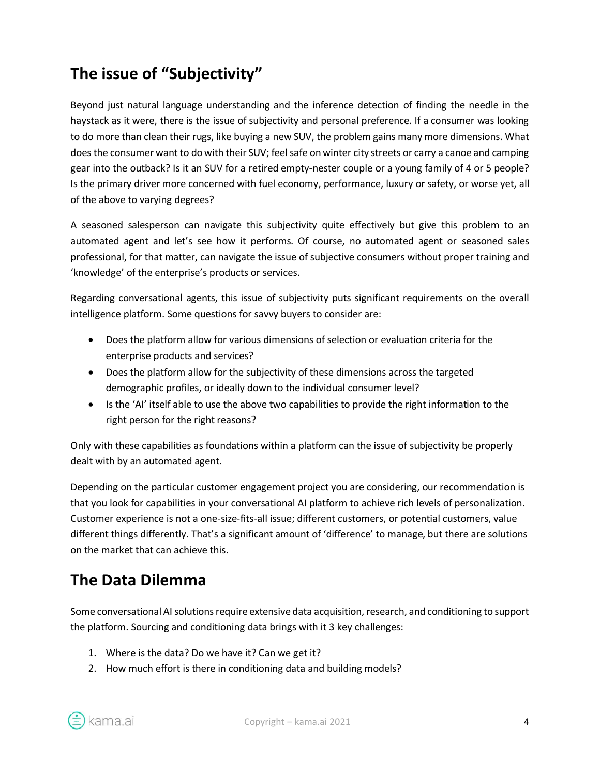## **The issue of "Subjectivity"**

Beyond just natural language understanding and the inference detection of finding the needle in the haystack as it were, there is the issue of subjectivity and personal preference. If a consumer was looking to do more than clean their rugs, like buying a new SUV, the problem gains many more dimensions. What does the consumer want to do with their SUV; feel safe on winter city streets or carry a canoe and camping gear into the outback? Is it an SUV for a retired empty-nester couple or a young family of 4 or 5 people? Is the primary driver more concerned with fuel economy, performance, luxury or safety, or worse yet, all of the above to varying degrees?

A seasoned salesperson can navigate this subjectivity quite effectively but give this problem to an automated agent and let's see how it performs. Of course, no automated agent or seasoned sales professional, for that matter, can navigate the issue of subjective consumers without proper training and 'knowledge' of the enterprise's products or services.

Regarding conversational agents, this issue of subjectivity puts significant requirements on the overall intelligence platform. Some questions for savvy buyers to consider are:

- Does the platform allow for various dimensions of selection or evaluation criteria for the enterprise products and services?
- Does the platform allow for the subjectivity of these dimensions across the targeted demographic profiles, or ideally down to the individual consumer level?
- Is the 'AI' itself able to use the above two capabilities to provide the right information to the right person for the right reasons?

Only with these capabilities as foundations within a platform can the issue of subjectivity be properly dealt with by an automated agent.

Depending on the particular customer engagement project you are considering, our recommendation is that you look for capabilities in your conversational AI platform to achieve rich levels of personalization. Customer experience is not a one-size-fits-all issue; different customers, or potential customers, value different things differently. That's a significant amount of 'difference' to manage, but there are solutions on the market that can achieve this.

## **The Data Dilemma**

Some conversational AI solutions require extensive data acquisition, research, and conditioning to support the platform. Sourcing and conditioning data brings with it 3 key challenges:

- 1. Where is the data? Do we have it? Can we get it?
- 2. How much effort is there in conditioning data and building models?

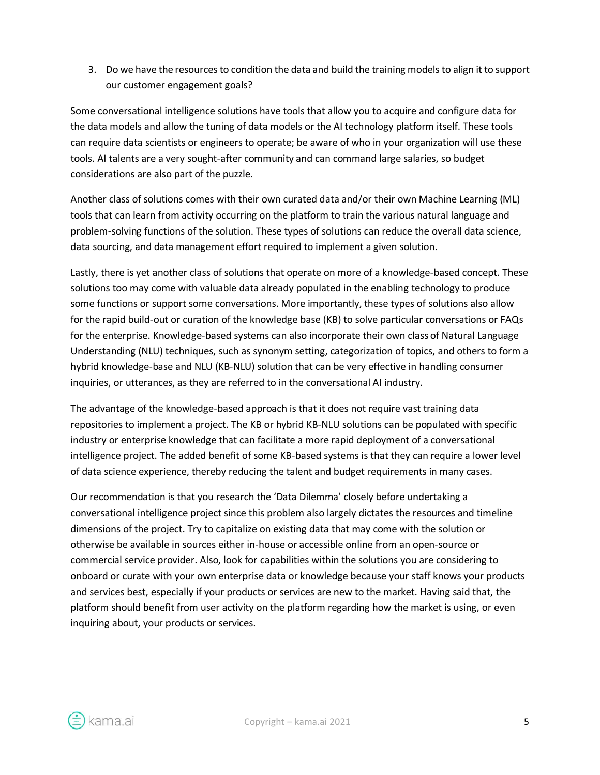3. Do we have the resources to condition the data and build the training models to align it to support our customer engagement goals?

Some conversational intelligence solutions have tools that allow you to acquire and configure data for the data models and allow the tuning of data models or the AI technology platform itself. These tools can require data scientists or engineers to operate; be aware of who in your organization will use these tools. AI talents are a very sought-after community and can command large salaries, so budget considerations are also part of the puzzle.

Another class of solutions comes with their own curated data and/or their own Machine Learning (ML) tools that can learn from activity occurring on the platform to train the various natural language and problem-solving functions of the solution. These types of solutions can reduce the overall data science, data sourcing, and data management effort required to implement a given solution.

Lastly, there is yet another class of solutions that operate on more of a knowledge-based concept. These solutions too may come with valuable data already populated in the enabling technology to produce some functions or support some conversations. More importantly, these types of solutions also allow for the rapid build-out or curation of the knowledge base (KB) to solve particular conversations or FAQs for the enterprise. Knowledge-based systems can also incorporate their own class of Natural Language Understanding (NLU) techniques, such as synonym setting, categorization of topics, and others to form a hybrid knowledge-base and NLU (KB-NLU) solution that can be very effective in handling consumer inquiries, or utterances, as they are referred to in the conversational AI industry.

The advantage of the knowledge-based approach is that it does not require vast training data repositories to implement a project. The KB or hybrid KB-NLU solutions can be populated with specific industry or enterprise knowledge that can facilitate a more rapid deployment of a conversational intelligence project. The added benefit of some KB-based systems is that they can require a lower level of data science experience, thereby reducing the talent and budget requirements in many cases.

Our recommendation is that you research the 'Data Dilemma' closely before undertaking a conversational intelligence project since this problem also largely dictates the resources and timeline dimensions of the project. Try to capitalize on existing data that may come with the solution or otherwise be available in sources either in-house or accessible online from an open-source or commercial service provider. Also, look for capabilities within the solutions you are considering to onboard or curate with your own enterprise data or knowledge because your staff knows your products and services best, especially if your products or services are new to the market. Having said that, the platform should benefit from user activity on the platform regarding how the market is using, or even inquiring about, your products or services.

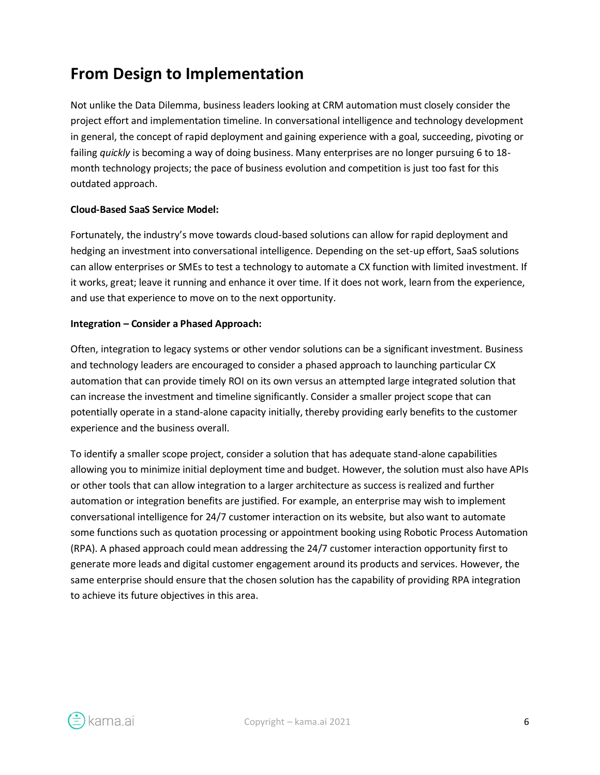## **From Design to Implementation**

Not unlike the Data Dilemma, business leaders looking at CRM automation must closely consider the project effort and implementation timeline. In conversational intelligence and technology development in general, the concept of rapid deployment and gaining experience with a goal, succeeding, pivoting or failing *quickly* is becoming a way of doing business. Many enterprises are no longer pursuing 6 to 18 month technology projects; the pace of business evolution and competition is just too fast for this outdated approach.

#### **Cloud-Based SaaS Service Model:**

Fortunately, the industry's move towards cloud-based solutions can allow for rapid deployment and hedging an investment into conversational intelligence. Depending on the set-up effort, SaaS solutions can allow enterprises or SMEs to test a technology to automate a CX function with limited investment. If it works, great; leave it running and enhance it over time. If it does not work, learn from the experience, and use that experience to move on to the next opportunity.

#### **Integration – Consider a Phased Approach:**

Often, integration to legacy systems or other vendor solutions can be a significant investment. Business and technology leaders are encouraged to consider a phased approach to launching particular CX automation that can provide timely ROI on its own versus an attempted large integrated solution that can increase the investment and timeline significantly. Consider a smaller project scope that can potentially operate in a stand-alone capacity initially, thereby providing early benefits to the customer experience and the business overall.

To identify a smaller scope project, consider a solution that has adequate stand-alone capabilities allowing you to minimize initial deployment time and budget. However, the solution must also have APIs or other tools that can allow integration to a larger architecture as success is realized and further automation or integration benefits are justified. For example, an enterprise may wish to implement conversational intelligence for 24/7 customer interaction on its website, but also want to automate some functions such as quotation processing or appointment booking using Robotic Process Automation (RPA). A phased approach could mean addressing the 24/7 customer interaction opportunity first to generate more leads and digital customer engagement around its products and services. However, the same enterprise should ensure that the chosen solution has the capability of providing RPA integration to achieve its future objectives in this area.

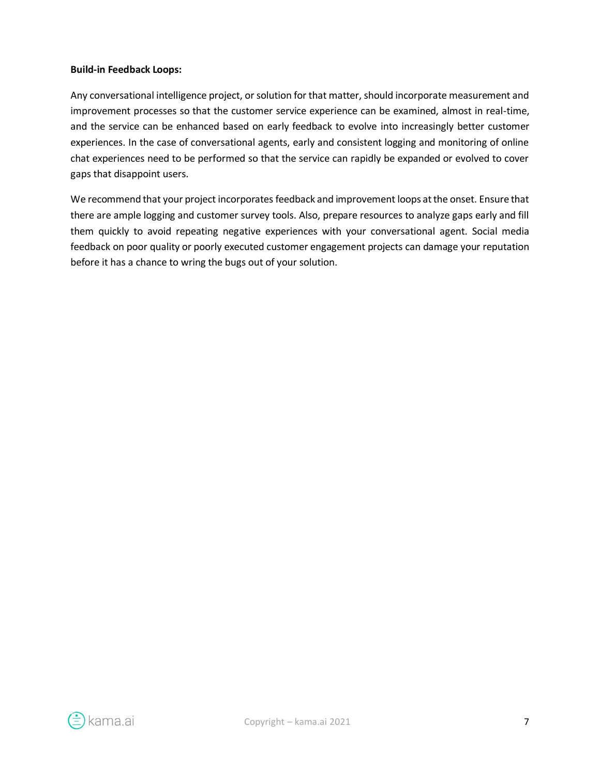#### **Build-in Feedback Loops:**

Any conversational intelligence project, or solution for that matter, should incorporate measurement and improvement processes so that the customer service experience can be examined, almost in real-time, and the service can be enhanced based on early feedback to evolve into increasingly better customer experiences. In the case of conversational agents, early and consistent logging and monitoring of online chat experiences need to be performed so that the service can rapidly be expanded or evolved to cover gaps that disappoint users.

We recommend that your project incorporates feedback and improvement loops at the onset. Ensure that there are ample logging and customer survey tools. Also, prepare resources to analyze gaps early and fill them quickly to avoid repeating negative experiences with your conversational agent. Social media feedback on poor quality or poorly executed customer engagement projects can damage your reputation before it has a chance to wring the bugs out of your solution.